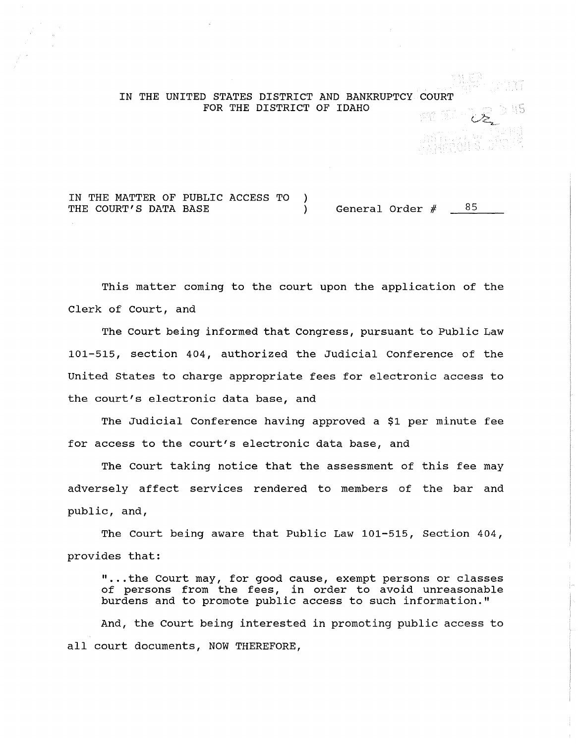## IN THE UNITED STATES DISTRICT AND BANKRUPTCY COURT FOR THE DISTRICT OF IDAHO

IN THE MATTER OF PUBLIC ACCESS TO  $\lambda$ THE COURT'S DATA BASE (a) General Order  $\#$  85

This matter coming to the court upon the application of the Clerk of Court, and

The court being informed that Congress, pursuant to Public Law 101-515, section 404, authorized the Judicial Conference of the United States to charge appropriate fees for electronic access to the court's electronic data base, and

The Judicial Conference having approved a \$1 per minute fee for access to the court's electronic data base, and

The Court taking notice that the assessment of this fee may adversely affect services rendered to members of the bar and public, and,

The Court being aware that Public Law 101-515, Section 404, provides that:

" ... the Court may, for good cause, exempt persons or classes of persons from the fees, in order to avoid unreasonable burdens and to promote public access to such information."

And, the Court being interested in promoting public access to all court documents, NOW THEREFORE,